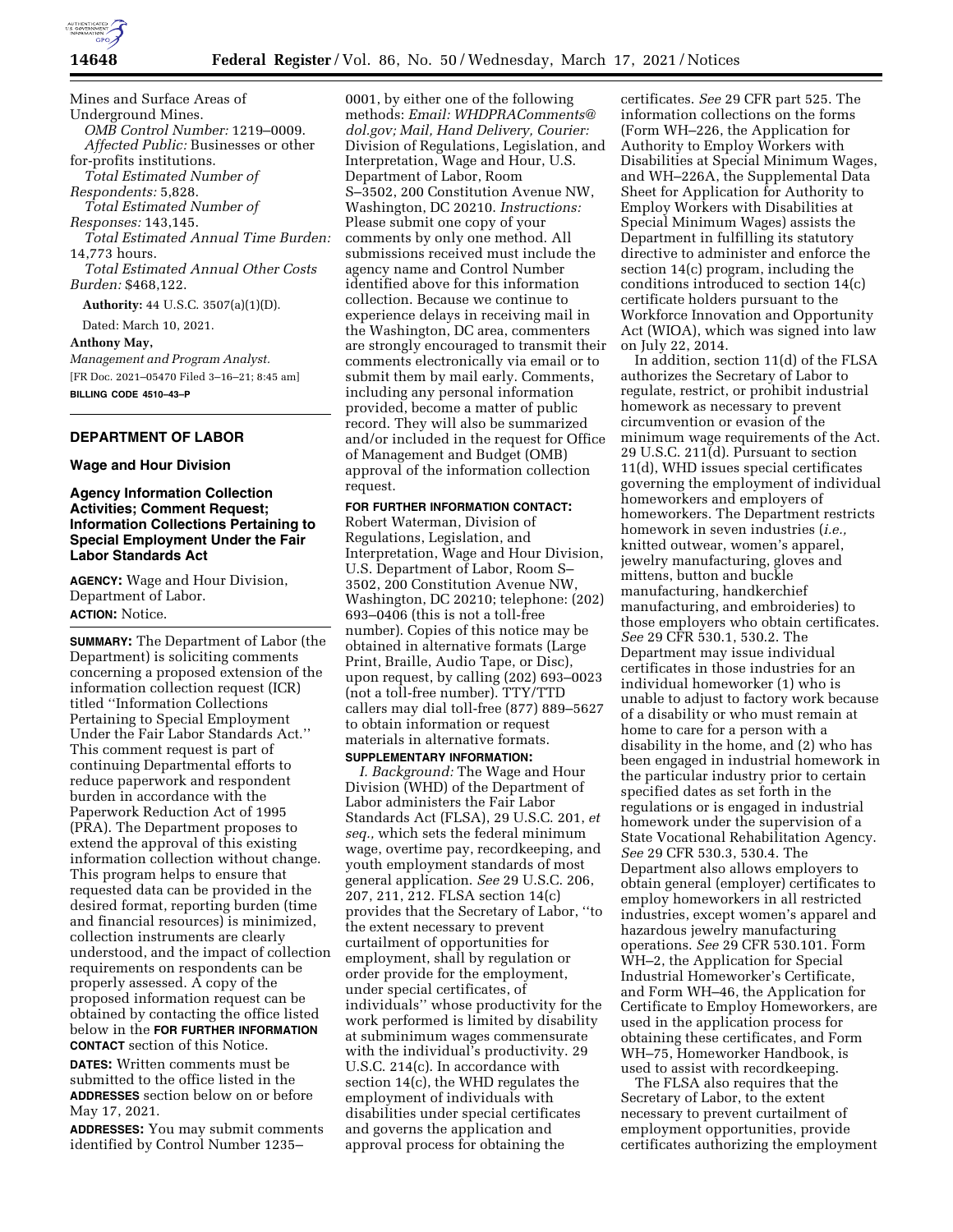

Mines and Surface Areas of Underground Mines. *OMB Control Number:* 1219–0009. *Affected Public:* Businesses or other for-profits institutions. *Total Estimated Number of Respondents:* 5,828. *Total Estimated Number of Responses:* 143,145. *Total Estimated Annual Time Burden:*  14,773 hours. *Total Estimated Annual Other Costs Burden:* \$468,122. **Authority:** 44 U.S.C. 3507(a)(1)(D). Dated: March 10, 2021. **Anthony May,**  *Management and Program Analyst.*  [FR Doc. 2021–05470 Filed 3–16–21; 8:45 am] **BILLING CODE 4510–43–P** 

# **DEPARTMENT OF LABOR**

# **Wage and Hour Division**

## **Agency Information Collection Activities; Comment Request; Information Collections Pertaining to Special Employment Under the Fair Labor Standards Act**

**AGENCY:** Wage and Hour Division, Department of Labor. **ACTION:** Notice.

**SUMMARY:** The Department of Labor (the Department) is soliciting comments concerning a proposed extension of the information collection request (ICR) titled ''Information Collections Pertaining to Special Employment Under the Fair Labor Standards Act.'' This comment request is part of continuing Departmental efforts to reduce paperwork and respondent burden in accordance with the Paperwork Reduction Act of 1995 (PRA). The Department proposes to extend the approval of this existing information collection without change. This program helps to ensure that requested data can be provided in the desired format, reporting burden (time and financial resources) is minimized, collection instruments are clearly understood, and the impact of collection requirements on respondents can be properly assessed. A copy of the proposed information request can be obtained by contacting the office listed below in the **FOR FURTHER INFORMATION CONTACT** section of this Notice.

**DATES:** Written comments must be submitted to the office listed in the **ADDRESSES** section below on or before May 17, 2021.

**ADDRESSES:** You may submit comments identified by Control Number 1235–

0001, by either one of the following methods: *Email: [WHDPRAComments@](mailto:WHDPRAComments@dol.gov) [dol.gov;](mailto:WHDPRAComments@dol.gov) Mail, Hand Delivery, Courier:*  Division of Regulations, Legislation, and Interpretation, Wage and Hour, U.S. Department of Labor, Room S–3502, 200 Constitution Avenue NW, Washington, DC 20210. *Instructions:*  Please submit one copy of your comments by only one method. All submissions received must include the agency name and Control Number identified above for this information collection. Because we continue to experience delays in receiving mail in the Washington, DC area, commenters are strongly encouraged to transmit their comments electronically via email or to submit them by mail early. Comments, including any personal information provided, become a matter of public record. They will also be summarized and/or included in the request for Office of Management and Budget (OMB) approval of the information collection request.

## **FOR FURTHER INFORMATION CONTACT:**

Robert Waterman, Division of Regulations, Legislation, and Interpretation, Wage and Hour Division, U.S. Department of Labor, Room S– 3502, 200 Constitution Avenue NW, Washington, DC 20210; telephone: (202) 693–0406 (this is not a toll-free number). Copies of this notice may be obtained in alternative formats (Large Print, Braille, Audio Tape, or Disc), upon request, by calling (202) 693–0023 (not a toll-free number). TTY/TTD callers may dial toll-free (877) 889–5627 to obtain information or request materials in alternative formats.

# **SUPPLEMENTARY INFORMATION:**

*I. Background:* The Wage and Hour Division (WHD) of the Department of Labor administers the Fair Labor Standards Act (FLSA), 29 U.S.C. 201, *et seq.,* which sets the federal minimum wage, overtime pay, recordkeeping, and youth employment standards of most general application. *See* 29 U.S.C. 206, 207, 211, 212. FLSA section 14(c) provides that the Secretary of Labor, ''to the extent necessary to prevent curtailment of opportunities for employment, shall by regulation or order provide for the employment, under special certificates, of individuals'' whose productivity for the work performed is limited by disability at subminimum wages commensurate with the individual's productivity. 29 U.S.C. 214(c). In accordance with section 14(c), the WHD regulates the employment of individuals with disabilities under special certificates and governs the application and approval process for obtaining the

certificates. *See* 29 CFR part 525. The information collections on the forms (Form WH–226, the Application for Authority to Employ Workers with Disabilities at Special Minimum Wages, and WH–226A, the Supplemental Data Sheet for Application for Authority to Employ Workers with Disabilities at Special Minimum Wages) assists the Department in fulfilling its statutory directive to administer and enforce the section 14(c) program, including the conditions introduced to section 14(c) certificate holders pursuant to the Workforce Innovation and Opportunity Act (WIOA), which was signed into law on July 22, 2014.

In addition, section 11(d) of the FLSA authorizes the Secretary of Labor to regulate, restrict, or prohibit industrial homework as necessary to prevent circumvention or evasion of the minimum wage requirements of the Act. 29 U.S.C. 211(d). Pursuant to section 11(d), WHD issues special certificates governing the employment of individual homeworkers and employers of homeworkers. The Department restricts homework in seven industries (*i.e.,*  knitted outwear, women's apparel, jewelry manufacturing, gloves and mittens, button and buckle manufacturing, handkerchief manufacturing, and embroideries) to those employers who obtain certificates. *See* 29 CFR 530.1, 530.2. The Department may issue individual certificates in those industries for an individual homeworker (1) who is unable to adjust to factory work because of a disability or who must remain at home to care for a person with a disability in the home, and (2) who has been engaged in industrial homework in the particular industry prior to certain specified dates as set forth in the regulations or is engaged in industrial homework under the supervision of a State Vocational Rehabilitation Agency. *See* 29 CFR 530.3, 530.4. The Department also allows employers to obtain general (employer) certificates to employ homeworkers in all restricted industries, except women's apparel and hazardous jewelry manufacturing operations. *See* 29 CFR 530.101. Form WH–2, the Application for Special Industrial Homeworker's Certificate, and Form WH–46, the Application for Certificate to Employ Homeworkers, are used in the application process for obtaining these certificates, and Form WH–75, Homeworker Handbook, is used to assist with recordkeeping.

The FLSA also requires that the Secretary of Labor, to the extent necessary to prevent curtailment of employment opportunities, provide certificates authorizing the employment